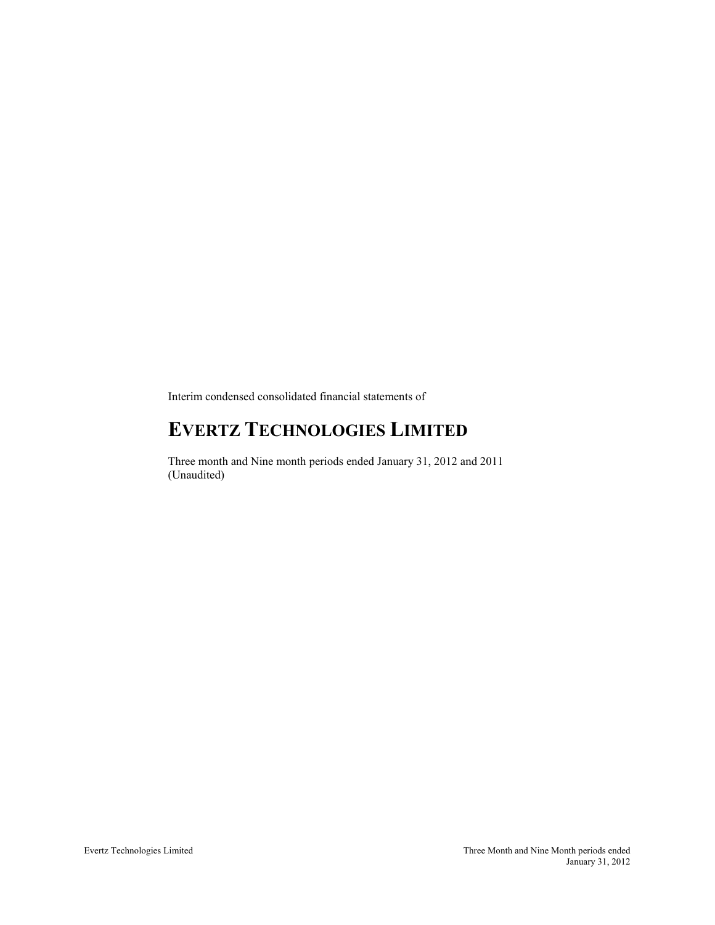Interim condensed consolidated financial statements of

# **EVERTZ TECHNOLOGIES LIMITED**

Three month and Nine month periods ended January 31, 2012 and 2011 (Unaudited)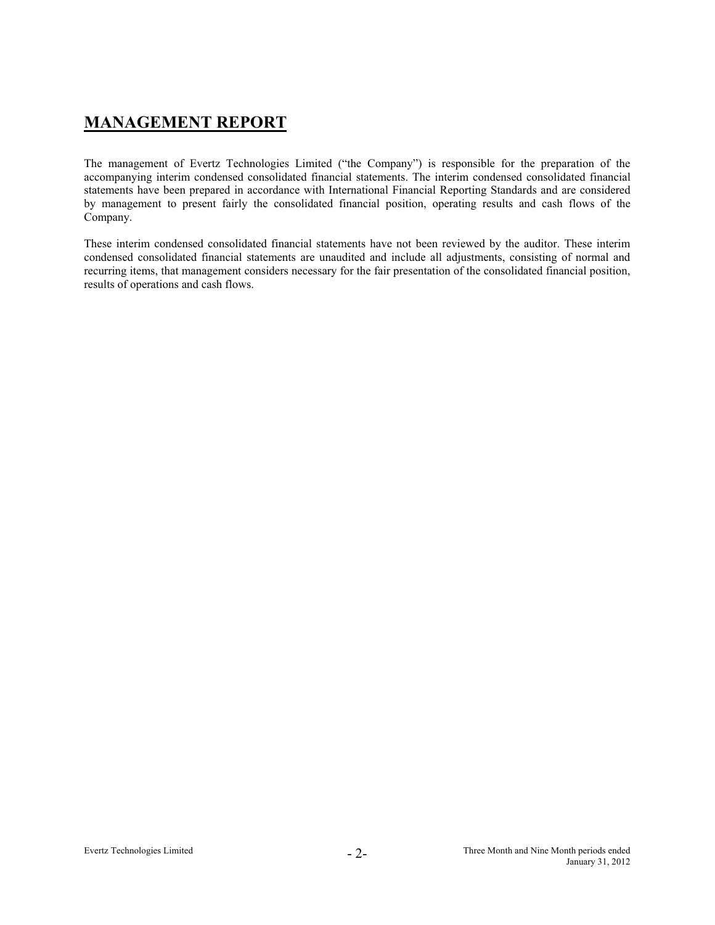# **MANAGEMENT REPORT**

The management of Evertz Technologies Limited ("the Company") is responsible for the preparation of the accompanying interim condensed consolidated financial statements. The interim condensed consolidated financial statements have been prepared in accordance with International Financial Reporting Standards and are considered by management to present fairly the consolidated financial position, operating results and cash flows of the Company.

These interim condensed consolidated financial statements have not been reviewed by the auditor. These interim condensed consolidated financial statements are unaudited and include all adjustments, consisting of normal and recurring items, that management considers necessary for the fair presentation of the consolidated financial position, results of operations and cash flows.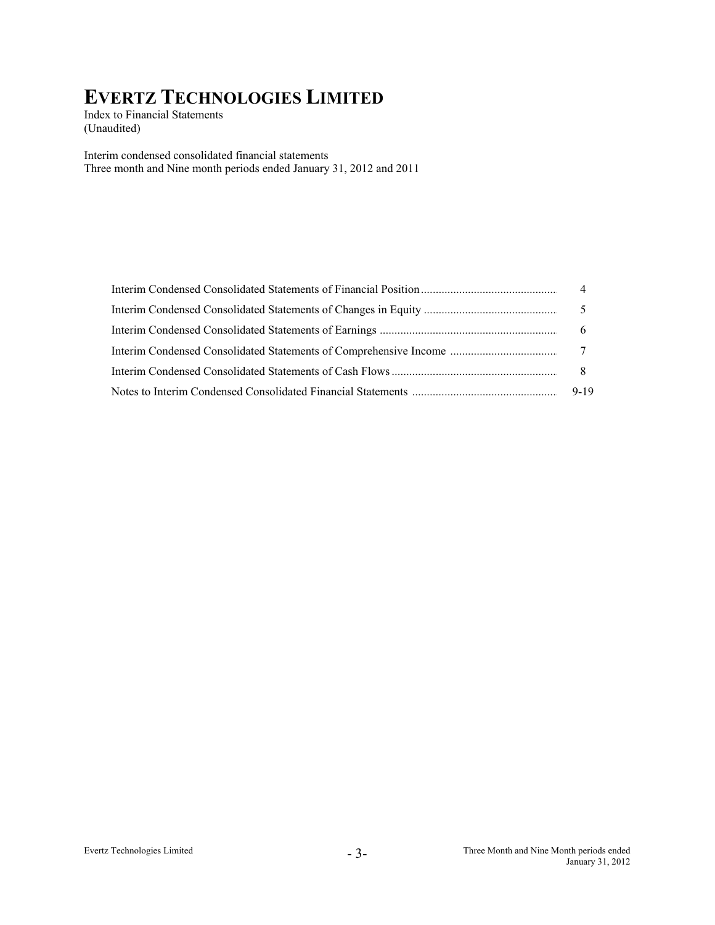Index to Financial Statements (Unaudited)

Interim condensed consolidated financial statements Three month and Nine month periods ended January 31, 2012 and 2011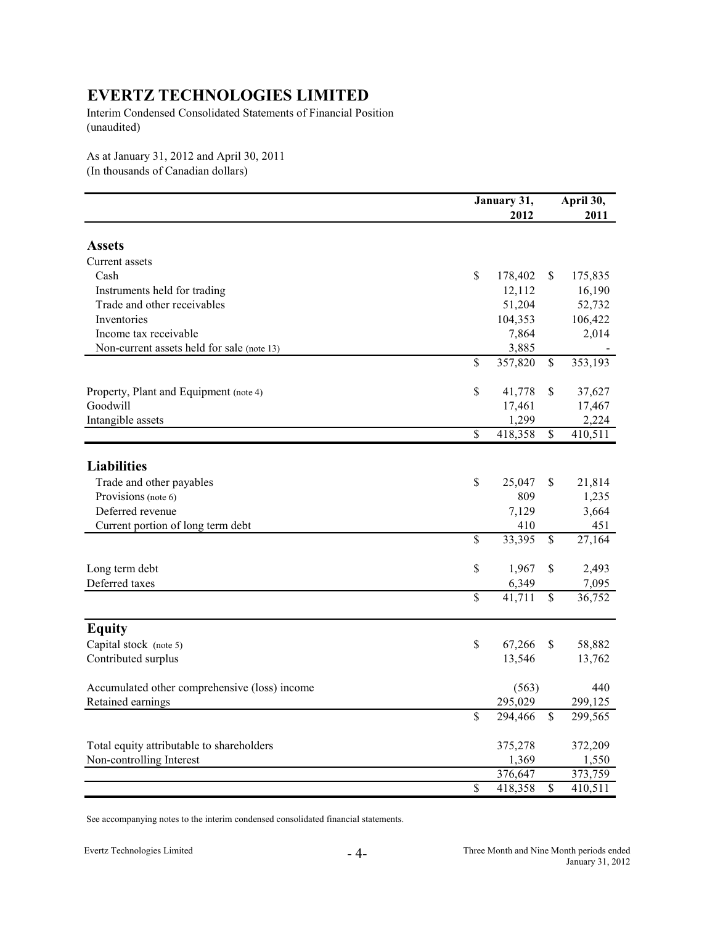Interim Condensed Consolidated Statements of Financial Position (unaudited)

As at January 31, 2012 and April 30, 2011 (In thousands of Canadian dollars)

| 2012<br>2011<br><b>Assets</b><br>Current assets<br>Cash<br>\$<br>175,835<br>178,402<br>\$<br>12,112<br>16,190<br>Instruments held for trading<br>Trade and other receivables<br>51,204<br>52,732<br>Inventories<br>104,353<br>106,422<br>Income tax receivable<br>7,864<br>2,014<br>3,885<br>Non-current assets held for sale (note 13)<br>$\mathbb{S}$<br>357,820<br>\$<br>353,193<br>\$<br>Property, Plant and Equipment (note 4)<br>41,778<br>\$<br>37,627<br>Goodwill<br>17,461<br>17,467<br>2,224<br>1,299<br>Intangible assets |
|--------------------------------------------------------------------------------------------------------------------------------------------------------------------------------------------------------------------------------------------------------------------------------------------------------------------------------------------------------------------------------------------------------------------------------------------------------------------------------------------------------------------------------------|
|                                                                                                                                                                                                                                                                                                                                                                                                                                                                                                                                      |
|                                                                                                                                                                                                                                                                                                                                                                                                                                                                                                                                      |
|                                                                                                                                                                                                                                                                                                                                                                                                                                                                                                                                      |
|                                                                                                                                                                                                                                                                                                                                                                                                                                                                                                                                      |
|                                                                                                                                                                                                                                                                                                                                                                                                                                                                                                                                      |
|                                                                                                                                                                                                                                                                                                                                                                                                                                                                                                                                      |
|                                                                                                                                                                                                                                                                                                                                                                                                                                                                                                                                      |
|                                                                                                                                                                                                                                                                                                                                                                                                                                                                                                                                      |
|                                                                                                                                                                                                                                                                                                                                                                                                                                                                                                                                      |
|                                                                                                                                                                                                                                                                                                                                                                                                                                                                                                                                      |
|                                                                                                                                                                                                                                                                                                                                                                                                                                                                                                                                      |
|                                                                                                                                                                                                                                                                                                                                                                                                                                                                                                                                      |
|                                                                                                                                                                                                                                                                                                                                                                                                                                                                                                                                      |
|                                                                                                                                                                                                                                                                                                                                                                                                                                                                                                                                      |
| $\overline{\mathcal{S}}$<br>418,358<br>410,511<br>$\mathbb{S}$                                                                                                                                                                                                                                                                                                                                                                                                                                                                       |
|                                                                                                                                                                                                                                                                                                                                                                                                                                                                                                                                      |
| <b>Liabilities</b>                                                                                                                                                                                                                                                                                                                                                                                                                                                                                                                   |
| Trade and other payables<br>\$<br>25,047<br>\$<br>21,814                                                                                                                                                                                                                                                                                                                                                                                                                                                                             |
| Provisions (note 6)<br>809<br>1,235                                                                                                                                                                                                                                                                                                                                                                                                                                                                                                  |
| Deferred revenue<br>3,664<br>7,129                                                                                                                                                                                                                                                                                                                                                                                                                                                                                                   |
| 451<br>Current portion of long term debt<br>410                                                                                                                                                                                                                                                                                                                                                                                                                                                                                      |
| $\mathbb{S}$<br>33,395<br>$\mathbb{S}$<br>27,164                                                                                                                                                                                                                                                                                                                                                                                                                                                                                     |
| $\mathbb{S}$<br>1,967<br>\$<br>2,493<br>Long term debt                                                                                                                                                                                                                                                                                                                                                                                                                                                                               |
| Deferred taxes<br>6,349<br>7,095                                                                                                                                                                                                                                                                                                                                                                                                                                                                                                     |
| $\mathbb{S}$<br>$\mathbb{S}$<br>41,711<br>36,752                                                                                                                                                                                                                                                                                                                                                                                                                                                                                     |
| <b>Equity</b>                                                                                                                                                                                                                                                                                                                                                                                                                                                                                                                        |
| Capital stock (note 5)<br>$\mathbb{S}$<br>67,266<br>\$<br>58,882                                                                                                                                                                                                                                                                                                                                                                                                                                                                     |
| Contributed surplus<br>13,546<br>13,762                                                                                                                                                                                                                                                                                                                                                                                                                                                                                              |
|                                                                                                                                                                                                                                                                                                                                                                                                                                                                                                                                      |
| 440<br>Accumulated other comprehensive (loss) income<br>(563)                                                                                                                                                                                                                                                                                                                                                                                                                                                                        |
| Retained earnings<br>295,029<br>299,125                                                                                                                                                                                                                                                                                                                                                                                                                                                                                              |
| $\mathbb{S}$<br>294,466<br>299,565<br>\$                                                                                                                                                                                                                                                                                                                                                                                                                                                                                             |
| Total equity attributable to shareholders<br>375,278<br>372,209                                                                                                                                                                                                                                                                                                                                                                                                                                                                      |
| Non-controlling Interest<br>1,369<br>1,550                                                                                                                                                                                                                                                                                                                                                                                                                                                                                           |
| 376,647<br>373,759                                                                                                                                                                                                                                                                                                                                                                                                                                                                                                                   |
| $\overline{\mathcal{S}}$<br>\$<br>418,358<br>410,511                                                                                                                                                                                                                                                                                                                                                                                                                                                                                 |

See accompanying notes to the interim condensed consolidated financial statements.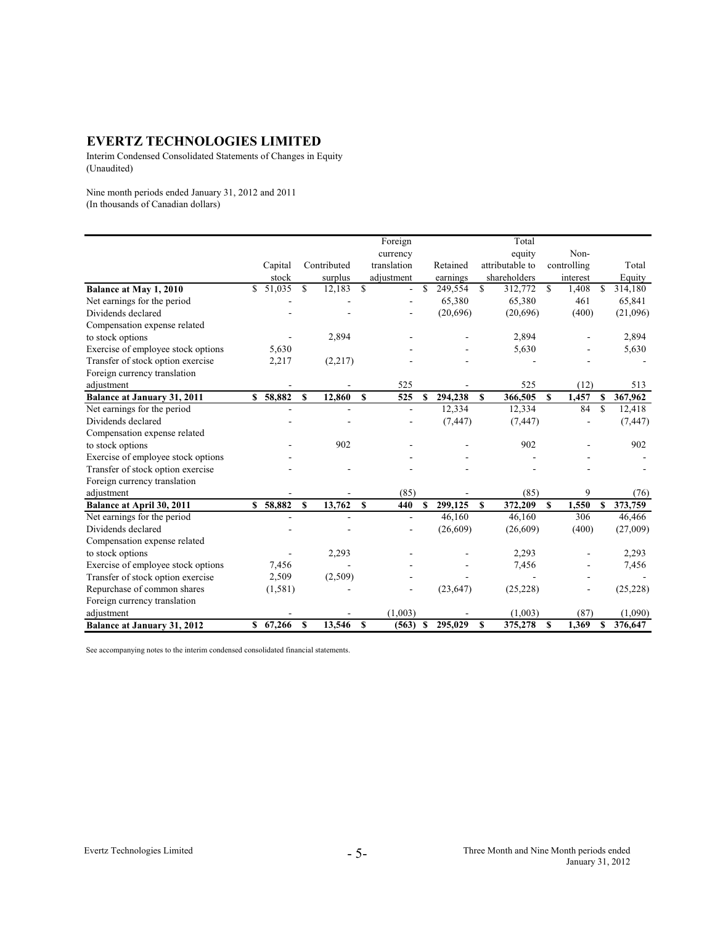Interim Condensed Consolidated Statements of Changes in Equity (Unaudited)

Nine month periods ended January 31, 2012 and 2011 (In thousands of Canadian dollars)

|                                    |     |          |     |             |               | Foreign     |              |           |             | Total           |               |             |             |           |
|------------------------------------|-----|----------|-----|-------------|---------------|-------------|--------------|-----------|-------------|-----------------|---------------|-------------|-------------|-----------|
|                                    |     |          |     |             |               | currency    |              |           |             | equity          |               | Non-        |             |           |
|                                    |     | Capital  |     | Contributed |               | translation |              | Retained  |             | attributable to |               | controlling |             | Total     |
|                                    |     | stock    |     | surplus     |               | adjustment  |              | earnings  |             | shareholders    |               | interest    |             | Equity    |
| Balance at May 1, 2010             | \$. | 51,035   | \$. | 12,183      | $\mathcal{S}$ | ÷.          | $\mathbb{S}$ | 249,554   | \$.         | 312,772         | <sup>\$</sup> | 1,408       | \$.         | 314,180   |
| Net earnings for the period        |     |          |     |             |               |             |              | 65,380    |             | 65,380          |               | 461         |             | 65,841    |
| Dividends declared                 |     |          |     |             |               |             |              | (20,696)  |             | (20,696)        |               | (400)       |             | (21,096)  |
| Compensation expense related       |     |          |     |             |               |             |              |           |             |                 |               |             |             |           |
| to stock options                   |     |          |     | 2,894       |               |             |              |           |             | 2,894           |               |             |             | 2,894     |
| Exercise of employee stock options |     | 5,630    |     |             |               |             |              |           |             | 5,630           |               |             |             | 5,630     |
| Transfer of stock option exercise  |     | 2,217    |     | (2,217)     |               |             |              |           |             |                 |               |             |             |           |
| Foreign currency translation       |     |          |     |             |               |             |              |           |             |                 |               |             |             |           |
| adjustment                         |     |          |     |             |               | 525         |              |           |             | 525             |               | (12)        |             | 513       |
| <b>Balance at January 31, 2011</b> | \$  | 58,882   | S   | 12,860      | $\mathbf{s}$  | 525         | \$           | 294,238   | $\mathbf S$ | 366,505         | $\mathbf{s}$  | 1,457       | \$          | 367,962   |
| Net earnings for the period        |     |          |     |             |               | ä,          |              | 12,334    |             | 12,334          |               | 84          | $\mathbf S$ | 12,418    |
| Dividends declared                 |     |          |     |             |               |             |              | (7, 447)  |             | (7, 447)        |               |             |             | (7, 447)  |
| Compensation expense related       |     |          |     |             |               |             |              |           |             |                 |               |             |             |           |
| to stock options                   |     |          |     | 902         |               |             |              |           |             | 902             |               |             |             | 902       |
| Exercise of employee stock options |     |          |     |             |               |             |              |           |             |                 |               |             |             |           |
| Transfer of stock option exercise  |     |          |     |             |               |             |              |           |             |                 |               |             |             |           |
| Foreign currency translation       |     |          |     |             |               |             |              |           |             |                 |               |             |             |           |
| adjustment                         |     |          |     |             |               | (85)        |              |           |             | (85)            |               | 9           |             | (76)      |
| Balance at April 30, 2011          |     | \$58,882 | \$  | 13,762      | <sup>\$</sup> | 440         | S            | 299,125   | S           | 372,209         | S             | 1,550       | S           | 373,759   |
| Net earnings for the period        |     |          |     |             |               | ÷,          |              | 46,160    |             | 46,160          |               | 306         |             | 46,466    |
| Dividends declared                 |     |          |     |             |               |             |              | (26,609)  |             | (26,609)        |               | (400)       |             | (27,009)  |
| Compensation expense related       |     |          |     |             |               |             |              |           |             |                 |               |             |             |           |
| to stock options                   |     |          |     | 2,293       |               |             |              |           |             | 2,293           |               |             |             | 2,293     |
| Exercise of employee stock options |     | 7,456    |     |             |               |             |              |           |             | 7,456           |               |             |             | 7,456     |
| Transfer of stock option exercise  |     | 2,509    |     | (2,509)     |               |             |              |           |             |                 |               |             |             |           |
| Repurchase of common shares        |     | (1, 581) |     |             |               |             |              | (23, 647) |             | (25, 228)       |               |             |             | (25, 228) |
| Foreign currency translation       |     |          |     |             |               |             |              |           |             |                 |               |             |             |           |
| adiustment                         |     |          |     |             |               | (1,003)     |              |           |             | (1,003)         |               | (87)        |             | (1,090)   |
| <b>Balance at January 31, 2012</b> |     | \$67,266 | S   | 13,546      | - \$          | (563)       | S            | 295,029   | \$          | 375,278         | $\mathbf{s}$  | 1,369       | \$          | 376,647   |

See accompanying notes to the interim condensed consolidated financial statements.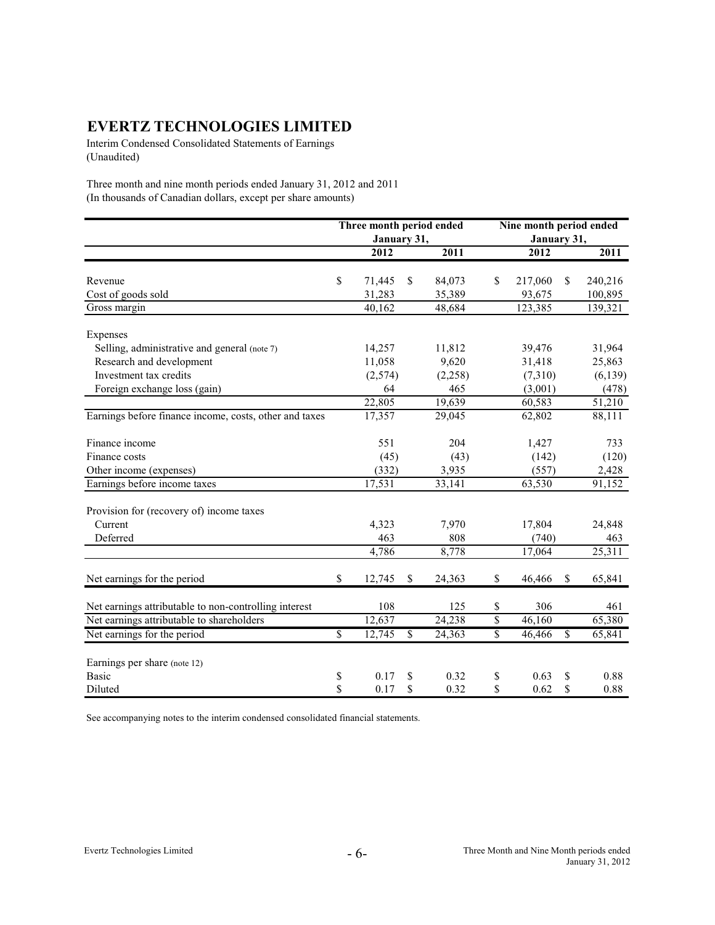Interim Condensed Consolidated Statements of Earnings (Unaudited)

Three month and nine month periods ended January 31, 2012 and 2011 (In thousands of Canadian dollars, except per share amounts)

|                                                        | Three month period ended   |               |          | Nine month period ended |             |               |          |  |  |
|--------------------------------------------------------|----------------------------|---------------|----------|-------------------------|-------------|---------------|----------|--|--|
|                                                        | January 31,                |               |          |                         | January 31, |               |          |  |  |
|                                                        | 2012                       |               | 2011     |                         | 2012        |               | 2011     |  |  |
| Revenue                                                | \$<br>71,445               | <sup>\$</sup> | 84,073   | \$                      | 217,060     | <sup>\$</sup> | 240,216  |  |  |
| Cost of goods sold                                     | 31,283                     |               | 35,389   |                         | 93,675      |               | 100,895  |  |  |
| Gross margin                                           | 40,162                     |               | 48,684   |                         | 123,385     |               | 139,321  |  |  |
|                                                        |                            |               |          |                         |             |               |          |  |  |
| Expenses                                               |                            |               |          |                         |             |               |          |  |  |
| Selling, administrative and general (note 7)           | 14,257                     |               | 11,812   |                         | 39,476      |               | 31,964   |  |  |
| Research and development                               | 11,058                     |               | 9,620    |                         | 31,418      |               | 25,863   |  |  |
| Investment tax credits                                 | (2,574)                    |               | (2, 258) |                         | (7,310)     |               | (6, 139) |  |  |
| Foreign exchange loss (gain)                           | 64                         |               | 465      |                         | (3,001)     |               | (478)    |  |  |
|                                                        | 22,805                     |               | 19,639   |                         | 60,583      |               | 51,210   |  |  |
| Earnings before finance income, costs, other and taxes | 17,357                     |               | 29,045   |                         | 62,802      |               | 88,111   |  |  |
| Finance income                                         | 551                        |               | 204      |                         | 1,427       |               | 733      |  |  |
| Finance costs                                          | (45)                       |               | (43)     |                         | (142)       |               | (120)    |  |  |
| Other income (expenses)                                | (332)                      |               | 3,935    |                         | (557)       |               | 2,428    |  |  |
| Earnings before income taxes                           | 17,531                     |               | 33,141   |                         | 63,530      |               | 91,152   |  |  |
| Provision for (recovery of) income taxes               |                            |               |          |                         |             |               |          |  |  |
| Current                                                | 4,323                      |               | 7,970    |                         | 17,804      |               | 24,848   |  |  |
| Deferred                                               | 463                        |               | 808      |                         | (740)       |               | 463      |  |  |
|                                                        | 4,786                      |               | 8,778    |                         | 17,064      |               | 25,311   |  |  |
| Net earnings for the period                            | \$<br>12,745               | \$            | 24,363   | \$                      | 46,466      | \$            | 65,841   |  |  |
| Net earnings attributable to non-controlling interest  | 108                        |               | 125      | \$                      | 306         |               | 461      |  |  |
| Net earnings attributable to shareholders              | 12,637                     |               | 24,238   | $\overline{\$}$         | 46,160      |               | 65,380   |  |  |
| Net earnings for the period                            | \$<br>$12, \overline{745}$ | \$            | 24,363   | $\overline{\mathbb{S}}$ | 46,466      | \$            | 65,841   |  |  |
|                                                        |                            |               |          |                         |             |               |          |  |  |
| Earnings per share (note 12)                           |                            |               |          |                         |             |               |          |  |  |
| <b>Basic</b>                                           | \$<br>0.17                 | \$            | 0.32     | \$                      | 0.63        | \$            | 0.88     |  |  |
| Diluted                                                | \$<br>0.17                 | \$            | 0.32     | \$                      | 0.62        | $\mathbb{S}$  | 0.88     |  |  |

See accompanying notes to the interim condensed consolidated financial statements.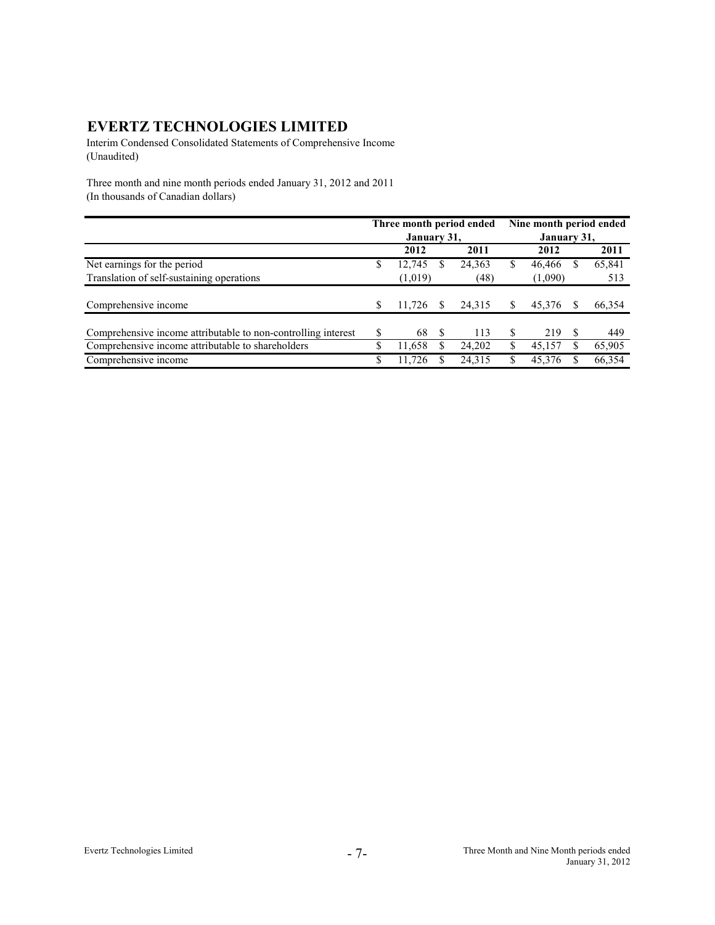Interim Condensed Consolidated Statements of Comprehensive Income (Unaudited)

Three month and nine month periods ended January 31, 2012 and 2011 (In thousands of Canadian dollars)

|                                                               |    |             |    | Three month period ended | Nine month period ended |             |    |        |  |  |
|---------------------------------------------------------------|----|-------------|----|--------------------------|-------------------------|-------------|----|--------|--|--|
|                                                               |    | January 31, |    |                          |                         | January 31, |    |        |  |  |
|                                                               |    | 2012        |    | 2011                     |                         | 2012        |    | 2011   |  |  |
| Net earnings for the period                                   | S  | 12,745      | S  | 24,363                   | S                       | 46,466      | S  | 65,841 |  |  |
| Translation of self-sustaining operations                     |    | (1,019)     |    | (48)                     |                         | (1,090)     |    | 513    |  |  |
| Comprehensive income                                          |    | 11.726      |    | 24,315                   | S                       | 45.376      |    | 66,354 |  |  |
|                                                               |    |             |    |                          |                         |             |    |        |  |  |
| Comprehensive income attributable to non-controlling interest | S  | 68          | -S | 113                      | S                       | 219         | S. | 449    |  |  |
| Comprehensive income attributable to shareholders             | \$ | 11.658      | S  | 24.202                   | S                       | 45.157      |    | 65,905 |  |  |
| Comprehensive income                                          |    | 11.726      |    | 24,315                   |                         | 45,376      |    | 66,354 |  |  |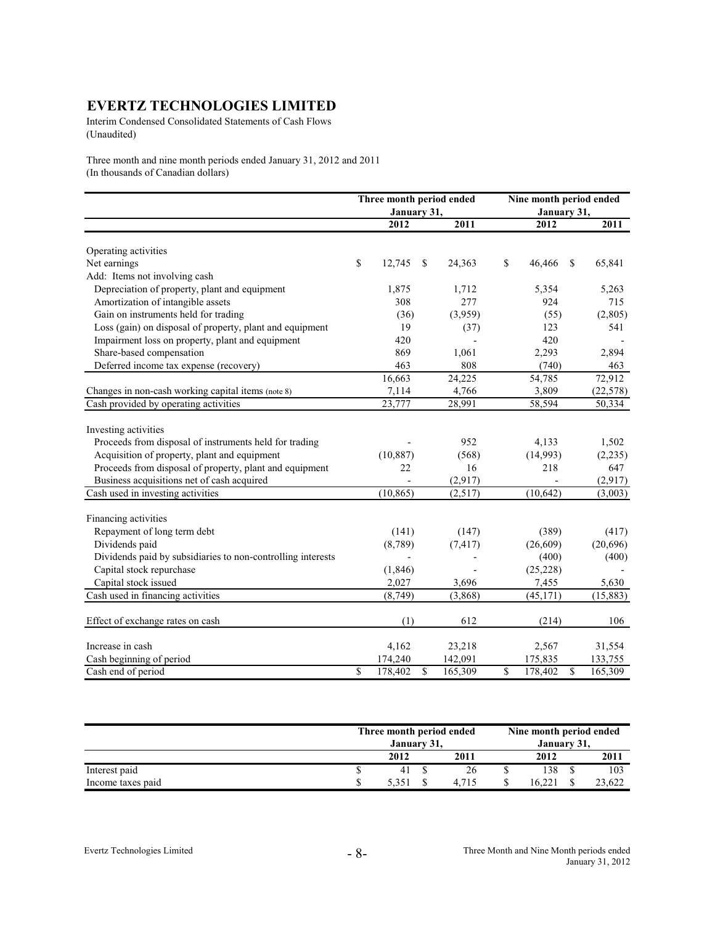Interim Condensed Consolidated Statements of Cash Flows (Unaudited)

Three month and nine month periods ended January 31, 2012 and 2011 (In thousands of Canadian dollars)

|                                                             | Three month period ended |               | Nine month period ended |           |  |  |  |  |
|-------------------------------------------------------------|--------------------------|---------------|-------------------------|-----------|--|--|--|--|
|                                                             | January 31,              |               | January 31,             |           |  |  |  |  |
|                                                             | 2012                     | 2011          | 2012                    | 2011      |  |  |  |  |
| Operating activities                                        |                          |               |                         |           |  |  |  |  |
| Net earnings                                                | \$<br>12,745             | 24,363<br>S   | \$<br>46,466<br>S       | 65,841    |  |  |  |  |
| Add: Items not involving cash                               |                          |               |                         |           |  |  |  |  |
| Depreciation of property, plant and equipment               | 1,875                    | 1,712         | 5,354                   | 5,263     |  |  |  |  |
| Amortization of intangible assets                           | 308                      | 277           | 924                     | 715       |  |  |  |  |
| Gain on instruments held for trading                        | (36)                     | (3,959)       | (55)                    | (2,805)   |  |  |  |  |
| Loss (gain) on disposal of property, plant and equipment    | 19                       | (37)          | 123                     | 541       |  |  |  |  |
| Impairment loss on property, plant and equipment            | 420                      |               | 420                     |           |  |  |  |  |
| Share-based compensation                                    | 869                      | 1,061         | 2,293                   | 2,894     |  |  |  |  |
| Deferred income tax expense (recovery)                      | 463                      | 808           | (740)                   | 463       |  |  |  |  |
|                                                             | 16,663                   | 24,225        | 54,785                  | 72,912    |  |  |  |  |
| Changes in non-cash working capital items (note 8)          | 7,114                    | 4,766         | 3,809                   | (22, 578) |  |  |  |  |
| Cash provided by operating activities                       | 23,777                   | 28,991        | 58,594                  | 50,334    |  |  |  |  |
| Investing activities                                        |                          |               |                         |           |  |  |  |  |
| Proceeds from disposal of instruments held for trading      |                          | 952           | 4,133                   | 1,502     |  |  |  |  |
| Acquisition of property, plant and equipment                | (10, 887)                | (568)         | (14,993)                | (2, 235)  |  |  |  |  |
| Proceeds from disposal of property, plant and equipment     | 22                       | 16            | 218                     | 647       |  |  |  |  |
| Business acquisitions net of cash acquired                  |                          | (2,917)       |                         | (2,917)   |  |  |  |  |
| Cash used in investing activities                           | (10, 865)                | (2,517)       | (10, 642)               | (3,003)   |  |  |  |  |
| Financing activities                                        |                          |               |                         |           |  |  |  |  |
| Repayment of long term debt                                 | (141)                    | (147)         | (389)                   | (417)     |  |  |  |  |
| Dividends paid                                              | (8,789)                  | (7, 417)      | (26,609)                | (20,696)  |  |  |  |  |
| Dividends paid by subsidiaries to non-controlling interests |                          |               | (400)                   | (400)     |  |  |  |  |
| Capital stock repurchase                                    | (1, 846)                 |               | (25, 228)               |           |  |  |  |  |
| Capital stock issued                                        | 2,027                    | 3,696         | 7,455                   | 5,630     |  |  |  |  |
| Cash used in financing activities                           | (8, 749)                 | (3,868)       | (45, 171)               | (15, 883) |  |  |  |  |
|                                                             |                          |               |                         |           |  |  |  |  |
| Effect of exchange rates on cash                            | (1)                      | 612           | (214)                   | 106       |  |  |  |  |
| Increase in cash                                            | 4,162                    | 23,218        | 2,567                   | 31,554    |  |  |  |  |
| Cash beginning of period                                    | 174,240                  | 142,091       | 175,835                 | 133,755   |  |  |  |  |
| Cash end of period                                          | \$<br>178,402            | \$<br>165,309 | \$<br>\$<br>178,402     | 165,309   |  |  |  |  |

|                   | Three month period ended |       | Nine month period ended |       |  |        |  |  |
|-------------------|--------------------------|-------|-------------------------|-------|--|--------|--|--|
|                   | January 31,              |       | January 31,             |       |  |        |  |  |
|                   | 2012                     | 2011  |                         | 2012  |  | 2011   |  |  |
| Interest paid     | 41                       | 26    |                         | 138   |  | 103    |  |  |
| Income taxes paid |                          | 4.715 |                         | 16.22 |  | 23.622 |  |  |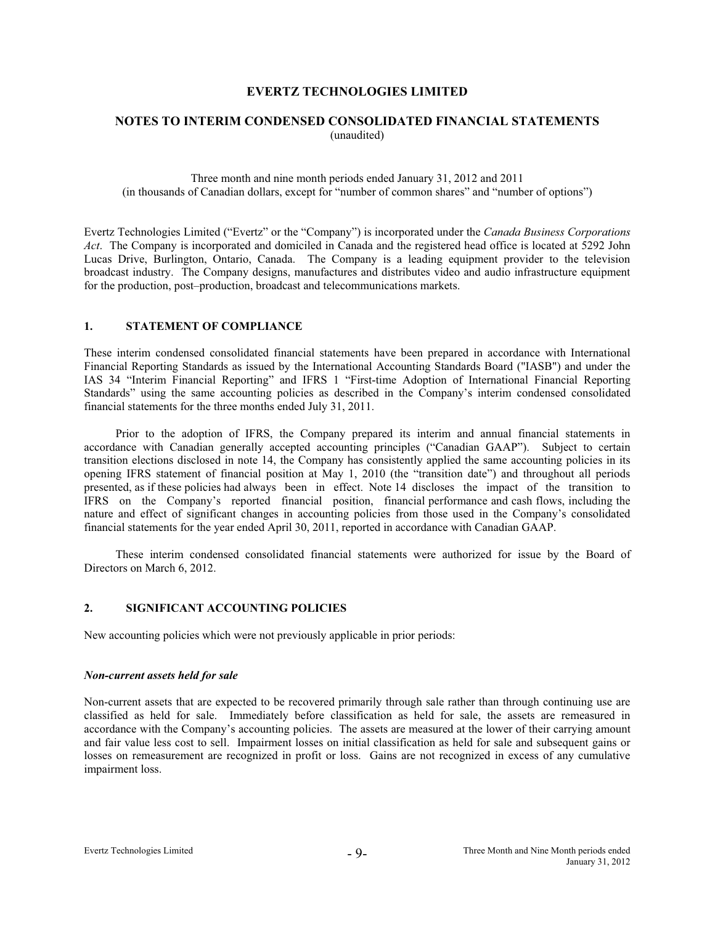# **NOTES TO INTERIM CONDENSED CONSOLIDATED FINANCIAL STATEMENTS**  (unaudited)

Three month and nine month periods ended January 31, 2012 and 2011 (in thousands of Canadian dollars, except for "number of common shares" and "number of options")

Evertz Technologies Limited ("Evertz" or the "Company") is incorporated under the *Canada Business Corporations Act*. The Company is incorporated and domiciled in Canada and the registered head office is located at 5292 John Lucas Drive, Burlington, Ontario, Canada. The Company is a leading equipment provider to the television broadcast industry. The Company designs, manufactures and distributes video and audio infrastructure equipment for the production, post–production, broadcast and telecommunications markets.

#### **1. STATEMENT OF COMPLIANCE**

These interim condensed consolidated financial statements have been prepared in accordance with International Financial Reporting Standards as issued by the International Accounting Standards Board ("IASB") and under the IAS 34 "Interim Financial Reporting" and IFRS 1 "First-time Adoption of International Financial Reporting Standards" using the same accounting policies as described in the Company's interim condensed consolidated financial statements for the three months ended July 31, 2011.

 Prior to the adoption of IFRS, the Company prepared its interim and annual financial statements in accordance with Canadian generally accepted accounting principles ("Canadian GAAP"). Subject to certain transition elections disclosed in note 14, the Company has consistently applied the same accounting policies in its opening IFRS statement of financial position at May 1, 2010 (the "transition date") and throughout all periods presented, as if these policies had always been in effect. Note 14 discloses the impact of the transition to IFRS on the Company's reported financial position, financial performance and cash flows, including the nature and effect of significant changes in accounting policies from those used in the Company's consolidated financial statements for the year ended April 30, 2011, reported in accordance with Canadian GAAP.

 These interim condensed consolidated financial statements were authorized for issue by the Board of Directors on March 6, 2012.

#### **2. SIGNIFICANT ACCOUNTING POLICIES**

New accounting policies which were not previously applicable in prior periods:

#### *Non-current assets held for sale*

Non-current assets that are expected to be recovered primarily through sale rather than through continuing use are classified as held for sale. Immediately before classification as held for sale, the assets are remeasured in accordance with the Company's accounting policies. The assets are measured at the lower of their carrying amount and fair value less cost to sell. Impairment losses on initial classification as held for sale and subsequent gains or losses on remeasurement are recognized in profit or loss. Gains are not recognized in excess of any cumulative impairment loss.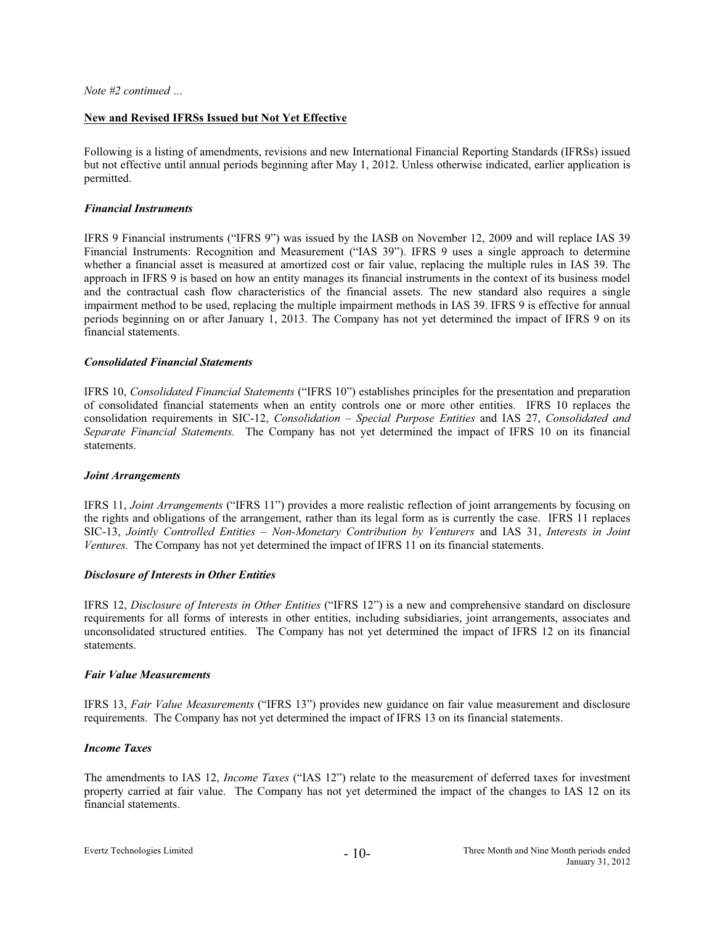# **New and Revised IFRSs Issued but Not Yet Effective**

Following is a listing of amendments, revisions and new International Financial Reporting Standards (IFRSs) issued but not effective until annual periods beginning after May 1, 2012. Unless otherwise indicated, earlier application is permitted.

# *Financial Instruments*

IFRS 9 Financial instruments ("IFRS 9") was issued by the IASB on November 12, 2009 and will replace IAS 39 Financial Instruments: Recognition and Measurement ("IAS 39"). IFRS 9 uses a single approach to determine whether a financial asset is measured at amortized cost or fair value, replacing the multiple rules in IAS 39. The approach in IFRS 9 is based on how an entity manages its financial instruments in the context of its business model and the contractual cash flow characteristics of the financial assets. The new standard also requires a single impairment method to be used, replacing the multiple impairment methods in IAS 39. IFRS 9 is effective for annual periods beginning on or after January 1, 2013. The Company has not yet determined the impact of IFRS 9 on its financial statements.

# *Consolidated Financial Statements*

IFRS 10, *Consolidated Financial Statements* ("IFRS 10") establishes principles for the presentation and preparation of consolidated financial statements when an entity controls one or more other entities. IFRS 10 replaces the consolidation requirements in SIC-12, *Consolidation – Special Purpose Entities* and IAS 27, *Consolidated and Separate Financial Statements.* The Company has not yet determined the impact of IFRS 10 on its financial statements.

#### *Joint Arrangements*

IFRS 11, *Joint Arrangements* ("IFRS 11") provides a more realistic reflection of joint arrangements by focusing on the rights and obligations of the arrangement, rather than its legal form as is currently the case. IFRS 11 replaces SIC-13, *Jointly Controlled Entities – Non-Monetary Contribution by Venturers* and IAS 31, *Interests in Joint Ventures.* The Company has not yet determined the impact of IFRS 11 on its financial statements.

# *Disclosure of Interests in Other Entities*

IFRS 12, *Disclosure of Interests in Other Entities* ("IFRS 12") is a new and comprehensive standard on disclosure requirements for all forms of interests in other entities, including subsidiaries, joint arrangements, associates and unconsolidated structured entities. The Company has not yet determined the impact of IFRS 12 on its financial statements.

#### *Fair Value Measurements*

IFRS 13, *Fair Value Measurements* ("IFRS 13") provides new guidance on fair value measurement and disclosure requirements. The Company has not yet determined the impact of IFRS 13 on its financial statements.

# *Income Taxes*

The amendments to IAS 12, *Income Taxes* ("IAS 12") relate to the measurement of deferred taxes for investment property carried at fair value. The Company has not yet determined the impact of the changes to IAS 12 on its financial statements.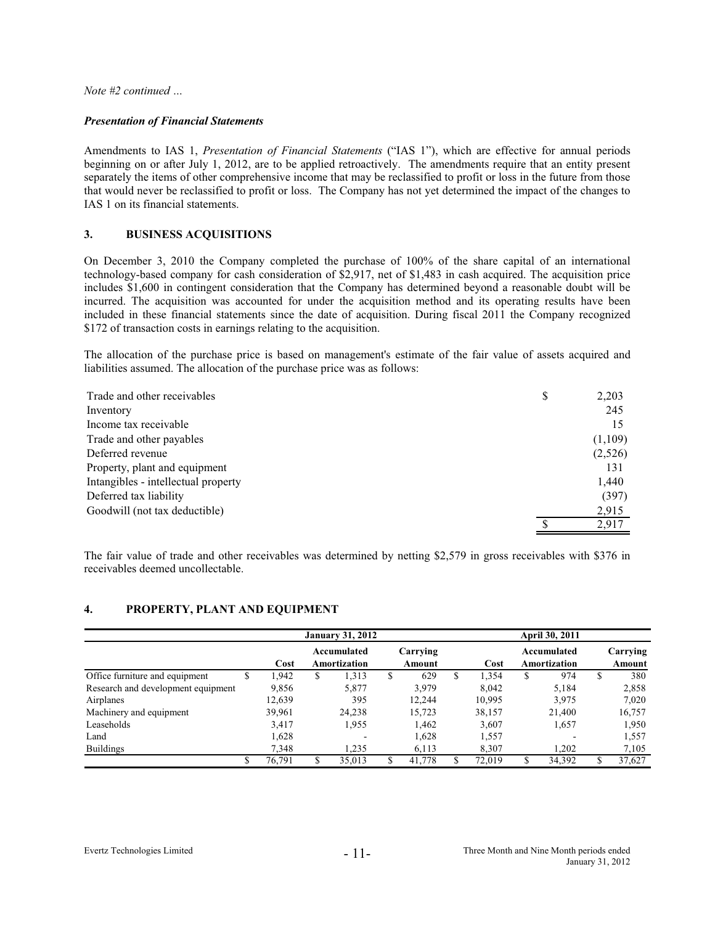*Note #2 continued …* 

#### *Presentation of Financial Statements*

Amendments to IAS 1, *Presentation of Financial Statements* ("IAS 1"), which are effective for annual periods beginning on or after July 1, 2012, are to be applied retroactively. The amendments require that an entity present separately the items of other comprehensive income that may be reclassified to profit or loss in the future from those that would never be reclassified to profit or loss. The Company has not yet determined the impact of the changes to IAS 1 on its financial statements.

#### **3. BUSINESS ACQUISITIONS**

On December 3, 2010 the Company completed the purchase of 100% of the share capital of an international technology-based company for cash consideration of \$2,917, net of \$1,483 in cash acquired. The acquisition price includes \$1,600 in contingent consideration that the Company has determined beyond a reasonable doubt will be incurred. The acquisition was accounted for under the acquisition method and its operating results have been included in these financial statements since the date of acquisition. During fiscal 2011 the Company recognized \$172 of transaction costs in earnings relating to the acquisition.

The allocation of the purchase price is based on management's estimate of the fair value of assets acquired and liabilities assumed. The allocation of the purchase price was as follows:

| Trade and other receivables         | S | 2,203   |
|-------------------------------------|---|---------|
| Inventory                           |   | 245     |
| Income tax receivable               |   | 15      |
| Trade and other payables            |   | (1,109) |
| Deferred revenue                    |   | (2,526) |
| Property, plant and equipment       |   | 131     |
| Intangibles - intellectual property |   | 1,440   |
| Deferred tax liability              |   | (397)   |
| Goodwill (not tax deductible)       |   | 2,915   |
|                                     |   | 2,917   |

The fair value of trade and other receivables was determined by netting \$2,579 in gross receivables with \$376 in receivables deemed uncollectable.

#### **4. PROPERTY, PLANT AND EQUIPMENT**

|                                    |        | <b>January 31, 2012</b> |                             |   |                    |   | April 30, 2011 |    |                             |     |                    |  |  |
|------------------------------------|--------|-------------------------|-----------------------------|---|--------------------|---|----------------|----|-----------------------------|-----|--------------------|--|--|
|                                    | Cost   |                         | Accumulated<br>Amortization |   | Carrying<br>Amount |   | Cost           |    | Accumulated<br>Amortization |     | Carrying<br>Amount |  |  |
| Office furniture and equipment     | 1.942  | S                       | 1,313                       | S | 629                | S | 1.354          | S  | 974                         | \$  | 380                |  |  |
| Research and development equipment | 9,856  |                         | 5,877                       |   | 3,979              |   | 8.042          |    | 5,184                       |     | 2,858              |  |  |
| Airplanes                          | 12,639 |                         | 395                         |   | 12.244             |   | 10,995         |    | 3,975                       |     | 7,020              |  |  |
| Machinery and equipment            | 39,961 |                         | 24,238                      |   | 15,723             |   | 38,157         |    | 21,400                      |     | 16,757             |  |  |
| Leaseholds                         | 3,417  |                         | 1,955                       |   | 1,462              |   | 3,607          |    | 1,657                       |     | 1,950              |  |  |
| Land                               | 1,628  |                         |                             |   | 1,628              |   | 1,557          |    | ٠                           |     | 1,557              |  |  |
| <b>Buildings</b>                   | 7,348  |                         | 1,235                       |   | 6,113              |   | 8,307          |    | 1,202                       |     | 7,105              |  |  |
|                                    | 76.791 |                         | 35.013                      |   | 41,778             |   | 72.019         | \$ | 34,392                      | \$. | 37,627             |  |  |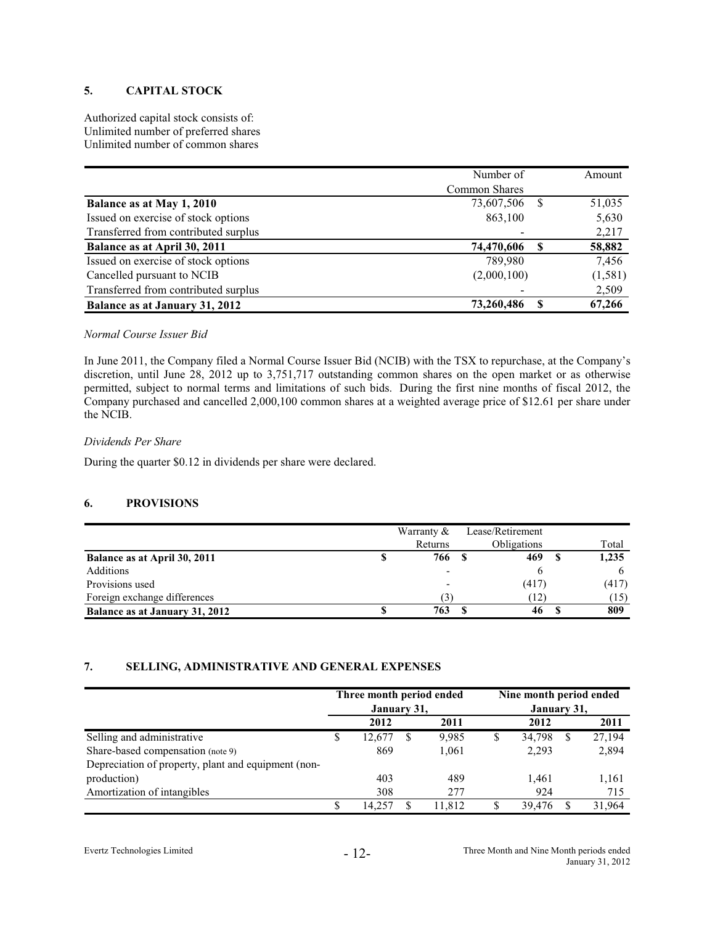# **5. CAPITAL STOCK**

Authorized capital stock consists of: Unlimited number of preferred shares Unlimited number of common shares

|                                      | Number of     |    | Amount   |
|--------------------------------------|---------------|----|----------|
|                                      | Common Shares |    |          |
| Balance as at May 1, 2010            | 73,607,506    | -8 | 51,035   |
| Issued on exercise of stock options  | 863,100       |    | 5,630    |
| Transferred from contributed surplus |               |    | 2,217    |
| Balance as at April 30, 2011         | 74,470,606    |    | 58,882   |
| Issued on exercise of stock options  | 789.980       |    | 7,456    |
| Cancelled pursuant to NCIB           | (2,000,100)   |    | (1, 581) |
| Transferred from contributed surplus |               |    | 2,509    |
| Balance as at January 31, 2012       | 73,260,486    | -S | 67,266   |

# *Normal Course Issuer Bid*

In June 2011, the Company filed a Normal Course Issuer Bid (NCIB) with the TSX to repurchase, at the Company's discretion, until June 28, 2012 up to 3,751,717 outstanding common shares on the open market or as otherwise permitted, subject to normal terms and limitations of such bids. During the first nine months of fiscal 2012, the Company purchased and cancelled 2,000,100 common shares at a weighted average price of \$12.61 per share under the NCIB.

# *Dividends Per Share*

During the quarter \$0.12 in dividends per share were declared.

# **6. PROVISIONS**

|                                | Warranty & | Lease/Retirement   |       |
|--------------------------------|------------|--------------------|-------|
|                                | Returns    | <b>Obligations</b> | Total |
| Balance as at April 30, 2011   | 766        | 469                | 1,235 |
| Additions                      |            |                    |       |
| Provisions used                |            | (417)              | (417) |
| Foreign exchange differences   | 3)         | (12)               | (15)  |
| Balance as at January 31, 2012 | 763        | 46                 | 809   |

# **7. SELLING, ADMINISTRATIVE AND GENERAL EXPENSES**

|                                                     | Three month period ended<br>January 31, |        |   |        | Nine month period ended<br>January 31, |        |  |        |  |  |
|-----------------------------------------------------|-----------------------------------------|--------|---|--------|----------------------------------------|--------|--|--------|--|--|
|                                                     |                                         | 2012   |   | 2011   |                                        | 2012   |  | 2011   |  |  |
| Selling and administrative                          | S                                       | 12.677 | S | 9,985  | S                                      | 34,798 |  | 27,194 |  |  |
| Share-based compensation (note 9)                   |                                         | 869    |   | 1,061  |                                        | 2,293  |  | 2,894  |  |  |
| Depreciation of property, plant and equipment (non- |                                         |        |   |        |                                        |        |  |        |  |  |
| production)                                         |                                         | 403    |   | 489    |                                        | 1.461  |  | 1,161  |  |  |
| Amortization of intangibles                         |                                         | 308    |   | 277    |                                        | 924    |  | 715    |  |  |
|                                                     | S                                       | 14.257 | S | 11.812 |                                        | 39.476 |  | 31.964 |  |  |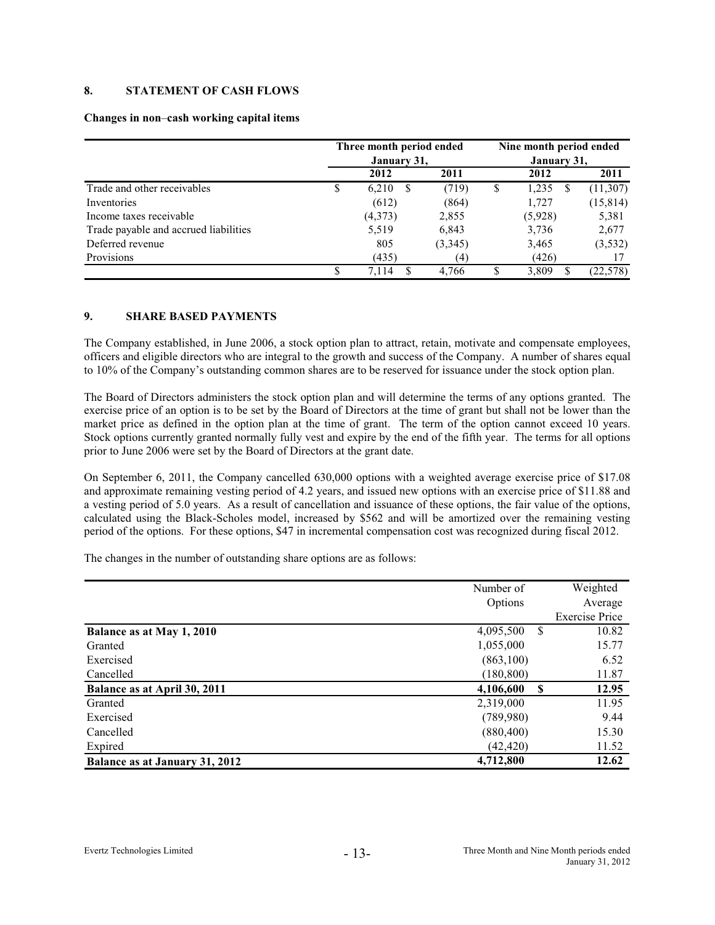# **8. STATEMENT OF CASH FLOWS**

#### **Changes in non**–**cash working capital items**

|                                       |    | Three month period ended<br>January 31, |         |    | Nine month period ended<br>January 31, |           |  |  |
|---------------------------------------|----|-----------------------------------------|---------|----|----------------------------------------|-----------|--|--|
|                                       |    | 2012                                    | 2011    |    | 2012                                   | 2011      |  |  |
| Trade and other receivables           | \$ | 6,210<br><sup>S</sup>                   | (719)   | \$ | 1,235                                  | (11,307)  |  |  |
| Inventories                           |    | (612)                                   | (864)   |    | 1,727                                  | (15, 814) |  |  |
| Income taxes receivable               |    | (4,373)                                 | 2,855   |    | (5,928)                                | 5,381     |  |  |
| Trade payable and accrued liabilities |    | 5,519                                   | 6,843   |    | 3,736                                  | 2,677     |  |  |
| Deferred revenue                      |    | 805                                     | (3,345) |    | 3,465                                  | (3, 532)  |  |  |
| Provisions                            |    | (435)                                   | (4)     |    | (426)                                  |           |  |  |
|                                       | S  | 7.114                                   | 4.766   |    | 3,809                                  | (22, 578) |  |  |

# **9. SHARE BASED PAYMENTS**

The Company established, in June 2006, a stock option plan to attract, retain, motivate and compensate employees, officers and eligible directors who are integral to the growth and success of the Company. A number of shares equal to 10% of the Company's outstanding common shares are to be reserved for issuance under the stock option plan.

The Board of Directors administers the stock option plan and will determine the terms of any options granted. The exercise price of an option is to be set by the Board of Directors at the time of grant but shall not be lower than the market price as defined in the option plan at the time of grant. The term of the option cannot exceed 10 years. Stock options currently granted normally fully vest and expire by the end of the fifth year. The terms for all options prior to June 2006 were set by the Board of Directors at the grant date.

On September 6, 2011, the Company cancelled 630,000 options with a weighted average exercise price of \$17.08 and approximate remaining vesting period of 4.2 years, and issued new options with an exercise price of \$11.88 and a vesting period of 5.0 years. As a result of cancellation and issuance of these options, the fair value of the options, calculated using the Black-Scholes model, increased by \$562 and will be amortized over the remaining vesting period of the options. For these options, \$47 in incremental compensation cost was recognized during fiscal 2012.

The changes in the number of outstanding share options are as follows:

|                                | Number of             | Weighted              |
|--------------------------------|-----------------------|-----------------------|
|                                | Options               | Average               |
|                                |                       | <b>Exercise Price</b> |
| Balance as at May 1, 2010      | 4,095,500<br>-S       | 10.82                 |
| Granted                        | 1,055,000             | 15.77                 |
| Exercised                      | (863,100)             | 6.52                  |
| Cancelled                      | (180, 800)            | 11.87                 |
| Balance as at April 30, 2011   | 4,106,600<br><b>S</b> | 12.95                 |
| Granted                        | 2,319,000             | 11.95                 |
| Exercised                      | (789,980)             | 9.44                  |
| Cancelled                      | (880, 400)            | 15.30                 |
| Expired                        | (42, 420)             | 11.52                 |
| Balance as at January 31, 2012 | 4,712,800             | 12.62                 |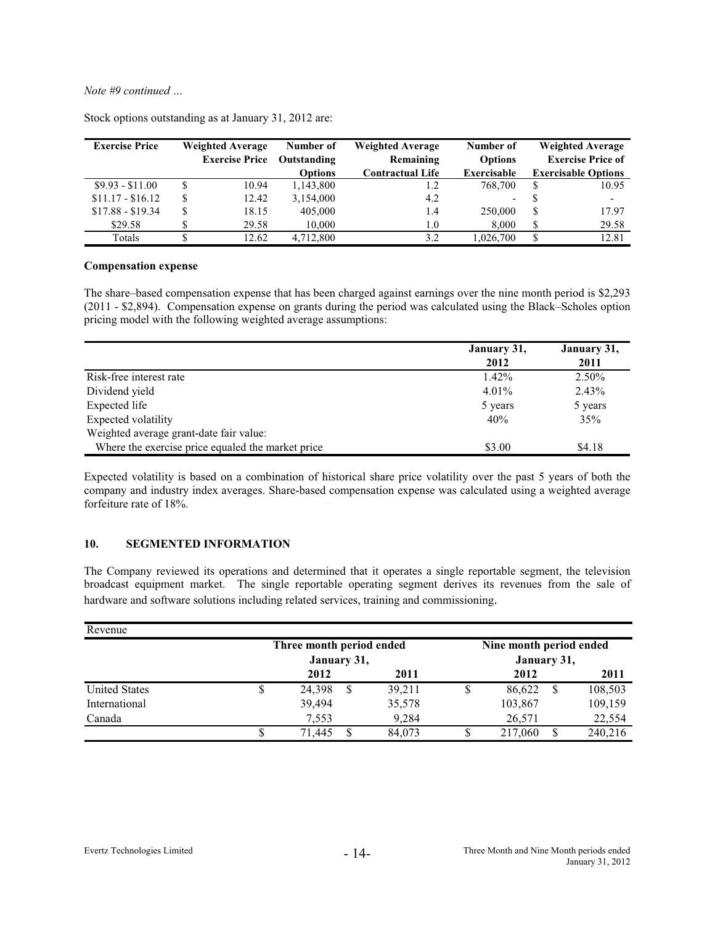*Note #9 continued …* 

| <b>Exercise Price</b> | <b>Weighted Average</b> | Number of      | <b>Weighted Average</b> | Number of      |    | <b>Weighted Average</b>    |
|-----------------------|-------------------------|----------------|-------------------------|----------------|----|----------------------------|
|                       | <b>Exercise Price</b>   | Outstanding    | Remaining               | <b>Options</b> |    | <b>Exercise Price of</b>   |
|                       |                         | <b>Options</b> | <b>Contractual Life</b> | Exercisable    |    | <b>Exercisable Options</b> |
| $$9.93 - $11.00$      | 10.94                   | 1,143,800      | 1.2                     | 768,700        | S  | 10.95                      |
| $$11.17 - $16.12$     | \$<br>12.42             | 3,154,000      | 4.2                     | ۰.             |    | $\overline{\phantom{0}}$   |
| $$17.88 - $19.34$     | \$<br>18.15             | 405,000        | 1.4                     | 250,000        | \$ | 17.97                      |
| \$29.58               | 29.58                   | 10,000         | 1.0                     | 8.000          | \$ | 29.58                      |
| Totals                | 12.62                   | 4,712,800      | 3.2                     | 1.026.700      | \$ | 12.81                      |

Stock options outstanding as at January 31, 2012 are:

#### **Compensation expense**

The share–based compensation expense that has been charged against earnings over the nine month period is \$2,293 (2011 - \$2,894). Compensation expense on grants during the period was calculated using the Black–Scholes option pricing model with the following weighted average assumptions:

|                                                   | January 31, | January 31, |
|---------------------------------------------------|-------------|-------------|
|                                                   | 2012        | 2011        |
| Risk-free interest rate                           | $1.42\%$    | 2.50%       |
| Dividend yield                                    | $4.01\%$    | 2.43%       |
| Expected life                                     | 5 years     | 5 years     |
| Expected volatility                               | 40%         | 35%         |
| Weighted average grant-date fair value:           |             |             |
| Where the exercise price equaled the market price | \$3.00      | \$4.18      |

Expected volatility is based on a combination of historical share price volatility over the past 5 years of both the company and industry index averages. Share-based compensation expense was calculated using a weighted average forfeiture rate of 18%.

#### **10. SEGMENTED INFORMATION**

The Company reviewed its operations and determined that it operates a single reportable segment, the television broadcast equipment market. The single reportable operating segment derives its revenues from the sale of hardware and software solutions including related services, training and commissioning.

| Revenue                  |   |             |   |        |  |                         |  |         |  |  |  |
|--------------------------|---|-------------|---|--------|--|-------------------------|--|---------|--|--|--|
| Three month period ended |   |             |   |        |  | Nine month period ended |  |         |  |  |  |
|                          |   | January 31, |   |        |  | January 31,             |  |         |  |  |  |
|                          |   | 2012        |   | 2011   |  | 2012                    |  | 2011    |  |  |  |
| <b>United States</b>     | S | 24,398      | S | 39.211 |  | 86.622                  |  | 108,503 |  |  |  |
| International            |   | 39.494      |   | 35,578 |  | 103,867                 |  | 109,159 |  |  |  |
| Canada                   |   | 7.553       |   | 9,284  |  | 26,571                  |  | 22,554  |  |  |  |
|                          |   | 71,445      |   | 84.073 |  | 217,060                 |  | 240,216 |  |  |  |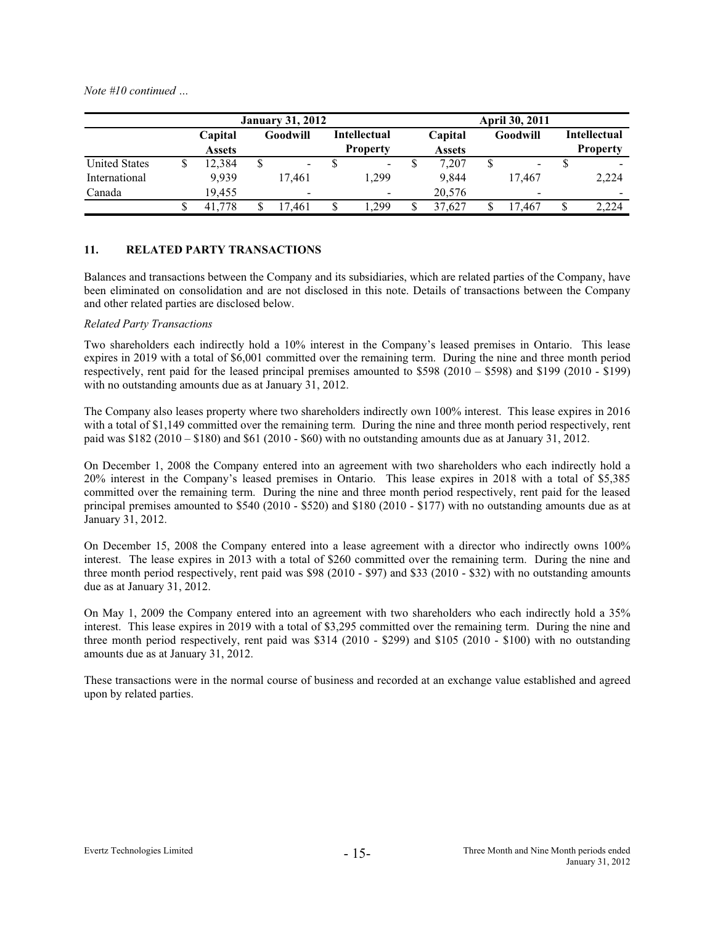*Note #10 continued …*

|                      | <b>January 31, 2012</b> |                          |    |                |    | <b>April 30, 2011</b>           |  |                          |  |                          |    |                                        |
|----------------------|-------------------------|--------------------------|----|----------------|----|---------------------------------|--|--------------------------|--|--------------------------|----|----------------------------------------|
|                      |                         | Capital<br><b>Assets</b> |    | Goodwill       |    | Intellectual<br><b>Property</b> |  | Capital<br><b>Assets</b> |  | Goodwill                 |    | <b>Intellectual</b><br><b>Property</b> |
| <b>United States</b> |                         | 12.384                   | \$ | $\blacksquare$ |    | ۰.                              |  | 7.207                    |  | $\blacksquare$           |    | -                                      |
| International        |                         | 9.939                    |    | 17.461         |    | 1.299                           |  | 9.844                    |  | 17.467                   |    | 2,224                                  |
| Canada               |                         | 19.455                   |    | $\,$           |    |                                 |  | 20,576                   |  | $\overline{\phantom{0}}$ |    |                                        |
|                      |                         | 41,778                   |    | '.461          | \$ | 1.299                           |  | 37.627                   |  | 7.467                    | \$ | 2,224                                  |

# **11. RELATED PARTY TRANSACTIONS**

Balances and transactions between the Company and its subsidiaries, which are related parties of the Company, have been eliminated on consolidation and are not disclosed in this note. Details of transactions between the Company and other related parties are disclosed below.

# *Related Party Transactions*

Two shareholders each indirectly hold a 10% interest in the Company's leased premises in Ontario. This lease expires in 2019 with a total of \$6,001 committed over the remaining term. During the nine and three month period respectively, rent paid for the leased principal premises amounted to \$598 (2010 – \$598) and \$199 (2010 - \$199) with no outstanding amounts due as at January 31, 2012.

The Company also leases property where two shareholders indirectly own 100% interest. This lease expires in 2016 with a total of \$1,149 committed over the remaining term. During the nine and three month period respectively, rent paid was  $$182 (2010 - $180)$  and  $$61 (2010 - $60)$  with no outstanding amounts due as at January 31, 2012.

On December 1, 2008 the Company entered into an agreement with two shareholders who each indirectly hold a 20% interest in the Company's leased premises in Ontario. This lease expires in 2018 with a total of \$5,385 committed over the remaining term. During the nine and three month period respectively, rent paid for the leased principal premises amounted to \$540 (2010 - \$520) and \$180 (2010 - \$177) with no outstanding amounts due as at January 31, 2012.

On December 15, 2008 the Company entered into a lease agreement with a director who indirectly owns 100% interest. The lease expires in 2013 with a total of \$260 committed over the remaining term. During the nine and three month period respectively, rent paid was \$98 (2010 - \$97) and \$33 (2010 - \$32) with no outstanding amounts due as at January 31, 2012.

On May 1, 2009 the Company entered into an agreement with two shareholders who each indirectly hold a 35% interest. This lease expires in 2019 with a total of \$3,295 committed over the remaining term. During the nine and three month period respectively, rent paid was \$314 (2010 - \$299) and \$105 (2010 - \$100) with no outstanding amounts due as at January 31, 2012.

These transactions were in the normal course of business and recorded at an exchange value established and agreed upon by related parties.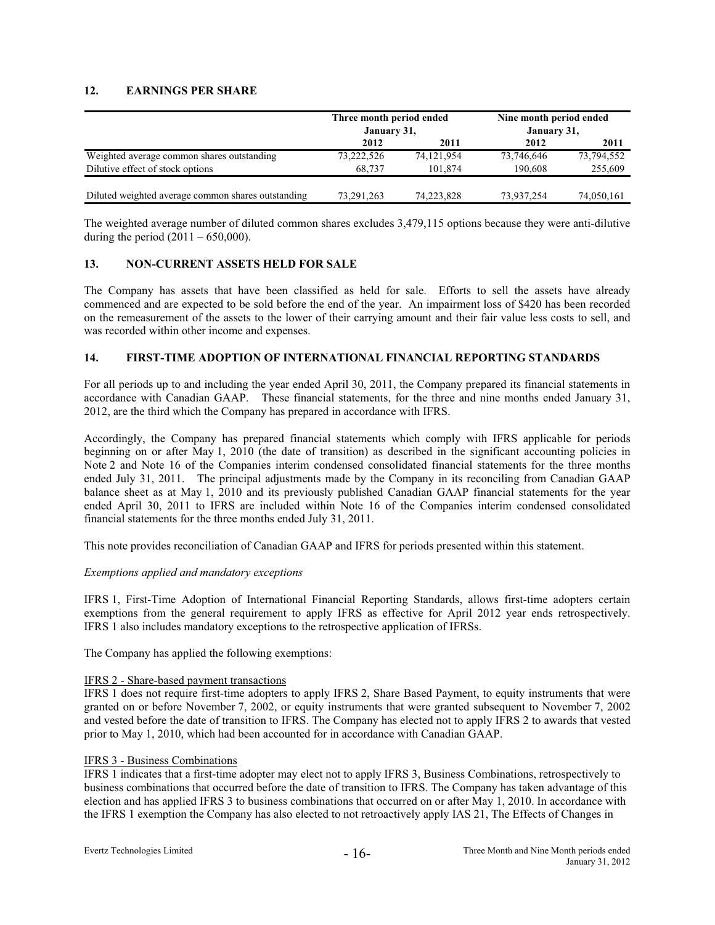# **12. EARNINGS PER SHARE**

|                                                    | Three month period ended<br>January 31, |            | Nine month period ended<br>January 31, |            |  |
|----------------------------------------------------|-----------------------------------------|------------|----------------------------------------|------------|--|
|                                                    | 2012                                    | 2011       | 2012                                   | 2011       |  |
| Weighted average common shares outstanding         | 73,222,526                              | 74,121,954 | 73,746,646                             | 73,794,552 |  |
| Dilutive effect of stock options                   | 68.737                                  | 101.874    | 190.608                                | 255,609    |  |
|                                                    |                                         |            |                                        |            |  |
| Diluted weighted average common shares outstanding | 73,291,263                              | 74,223,828 | 73,937,254                             | 74,050,161 |  |

The weighted average number of diluted common shares excludes 3,479,115 options because they were anti-dilutive during the period  $(2011 - 650,000)$ .

# **13. NON-CURRENT ASSETS HELD FOR SALE**

The Company has assets that have been classified as held for sale. Efforts to sell the assets have already commenced and are expected to be sold before the end of the year. An impairment loss of \$420 has been recorded on the remeasurement of the assets to the lower of their carrying amount and their fair value less costs to sell, and was recorded within other income and expenses.

# **14. FIRST-TIME ADOPTION OF INTERNATIONAL FINANCIAL REPORTING STANDARDS**

For all periods up to and including the year ended April 30, 2011, the Company prepared its financial statements in accordance with Canadian GAAP. These financial statements, for the three and nine months ended January 31, 2012, are the third which the Company has prepared in accordance with IFRS.

Accordingly, the Company has prepared financial statements which comply with IFRS applicable for periods beginning on or after May 1, 2010 (the date of transition) as described in the significant accounting policies in Note 2 and Note 16 of the Companies interim condensed consolidated financial statements for the three months ended July 31, 2011. The principal adjustments made by the Company in its reconciling from Canadian GAAP balance sheet as at May 1, 2010 and its previously published Canadian GAAP financial statements for the year ended April 30, 2011 to IFRS are included within Note 16 of the Companies interim condensed consolidated financial statements for the three months ended July 31, 2011.

This note provides reconciliation of Canadian GAAP and IFRS for periods presented within this statement.

#### *Exemptions applied and mandatory exceptions*

IFRS 1, First-Time Adoption of International Financial Reporting Standards, allows first-time adopters certain exemptions from the general requirement to apply IFRS as effective for April 2012 year ends retrospectively. IFRS 1 also includes mandatory exceptions to the retrospective application of IFRSs.

The Company has applied the following exemptions:

#### IFRS 2 - Share-based payment transactions

IFRS 1 does not require first-time adopters to apply IFRS 2, Share Based Payment, to equity instruments that were granted on or before November 7, 2002, or equity instruments that were granted subsequent to November 7, 2002 and vested before the date of transition to IFRS. The Company has elected not to apply IFRS 2 to awards that vested prior to May 1, 2010, which had been accounted for in accordance with Canadian GAAP.

#### IFRS 3 - Business Combinations

IFRS 1 indicates that a first-time adopter may elect not to apply IFRS 3, Business Combinations, retrospectively to business combinations that occurred before the date of transition to IFRS. The Company has taken advantage of this election and has applied IFRS 3 to business combinations that occurred on or after May 1, 2010. In accordance with the IFRS 1 exemption the Company has also elected to not retroactively apply IAS 21, The Effects of Changes in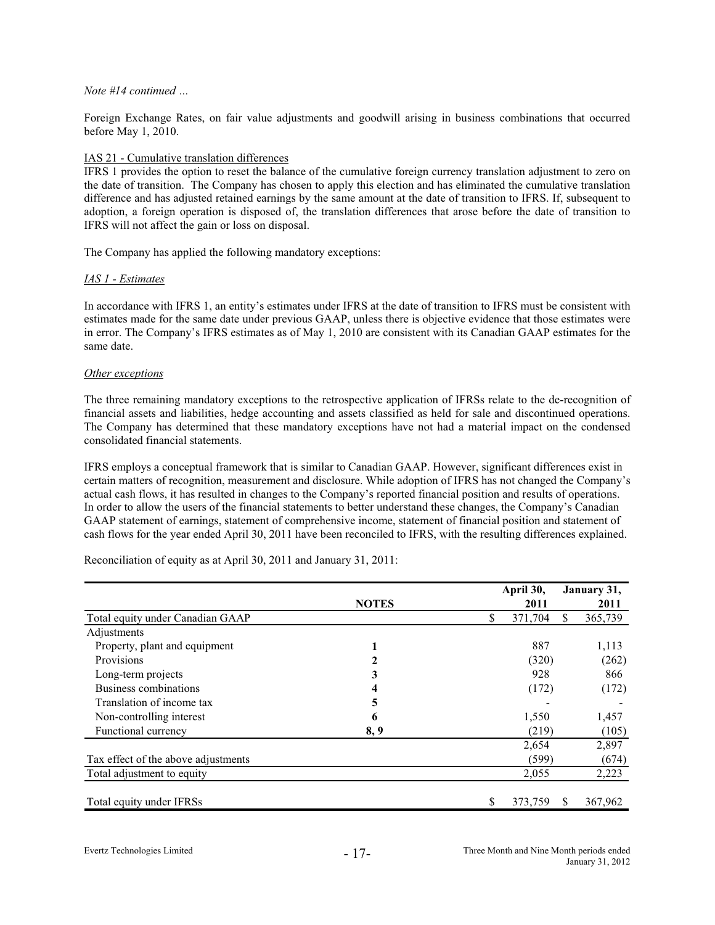#### *Note #14 continued …*

Foreign Exchange Rates, on fair value adjustments and goodwill arising in business combinations that occurred before May 1, 2010.

# IAS 21 - Cumulative translation differences

IFRS 1 provides the option to reset the balance of the cumulative foreign currency translation adjustment to zero on the date of transition. The Company has chosen to apply this election and has eliminated the cumulative translation difference and has adjusted retained earnings by the same amount at the date of transition to IFRS. If, subsequent to adoption, a foreign operation is disposed of, the translation differences that arose before the date of transition to IFRS will not affect the gain or loss on disposal.

The Company has applied the following mandatory exceptions:

# *IAS 1 - Estimates*

In accordance with IFRS 1, an entity's estimates under IFRS at the date of transition to IFRS must be consistent with estimates made for the same date under previous GAAP, unless there is objective evidence that those estimates were in error. The Company's IFRS estimates as of May 1, 2010 are consistent with its Canadian GAAP estimates for the same date.

# *Other exceptions*

The three remaining mandatory exceptions to the retrospective application of IFRSs relate to the de-recognition of financial assets and liabilities, hedge accounting and assets classified as held for sale and discontinued operations. The Company has determined that these mandatory exceptions have not had a material impact on the condensed consolidated financial statements.

IFRS employs a conceptual framework that is similar to Canadian GAAP. However, significant differences exist in certain matters of recognition, measurement and disclosure. While adoption of IFRS has not changed the Company's actual cash flows, it has resulted in changes to the Company's reported financial position and results of operations. In order to allow the users of the financial statements to better understand these changes, the Company's Canadian GAAP statement of earnings, statement of comprehensive income, statement of financial position and statement of cash flows for the year ended April 30, 2011 have been reconciled to IFRS, with the resulting differences explained.

Reconciliation of equity as at April 30, 2011 and January 31, 2011:

|                                     |              |    | April 30, |    | January 31, |
|-------------------------------------|--------------|----|-----------|----|-------------|
|                                     | <b>NOTES</b> |    | 2011      |    | 2011        |
| Total equity under Canadian GAAP    |              | S  | 371,704   | S. | 365,739     |
| Adjustments                         |              |    |           |    |             |
| Property, plant and equipment       |              |    | 887       |    | 1,113       |
| Provisions                          |              |    | (320)     |    | (262)       |
| Long-term projects                  | 3            |    | 928       |    | 866         |
| Business combinations               |              |    | (172)     |    | (172)       |
| Translation of income tax           | 5            |    |           |    |             |
| Non-controlling interest            | 6            |    | 1,550     |    | 1,457       |
| Functional currency                 | 8, 9         |    | (219)     |    | (105)       |
|                                     |              |    | 2,654     |    | 2,897       |
| Tax effect of the above adjustments |              |    | (599)     |    | (674)       |
| Total adjustment to equity          |              |    | 2,055     |    | 2,223       |
| Total equity under IFRSs            |              | \$ | 373,759   | S  | 367,962     |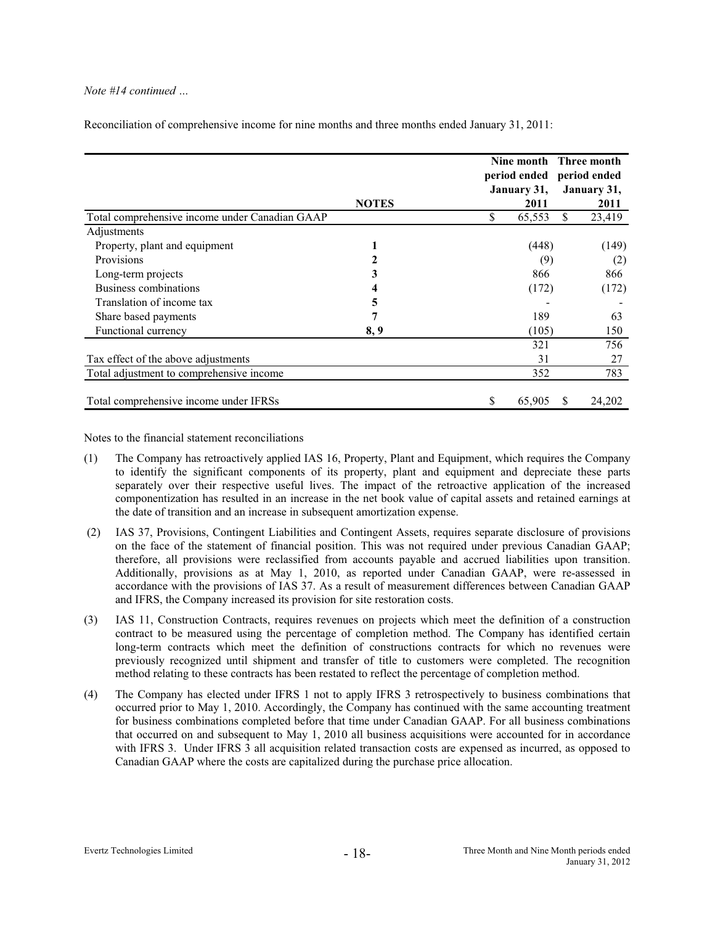# *Note #14 continued …*

|                                                |              | Nine month Three month<br>period ended period ended<br>January 31, |              | January 31,    |
|------------------------------------------------|--------------|--------------------------------------------------------------------|--------------|----------------|
| Total comprehensive income under Canadian GAAP | <b>NOTES</b> | 2011<br>\$<br>65,553                                               | S.           | 2011<br>23,419 |
| Adjustments                                    |              |                                                                    |              |                |
| Property, plant and equipment                  |              | (448)                                                              |              | (149)          |
| Provisions                                     |              | (9)                                                                |              | (2)            |
| Long-term projects                             |              | 866                                                                |              | 866            |
| Business combinations                          |              | (172)                                                              |              | (172)          |
| Translation of income tax                      | 5            |                                                                    |              |                |
| Share based payments                           |              | 189                                                                |              | 63             |
| Functional currency                            | 8, 9         | (105)                                                              |              | 150            |
|                                                |              | 321                                                                |              | 756            |
| Tax effect of the above adjustments            |              | 31                                                                 |              | 27             |
| Total adjustment to comprehensive income       |              | 352                                                                |              | 783            |
| Total comprehensive income under IFRSs         |              | \$<br>65,905                                                       | <sup>S</sup> | 24,202         |

Reconciliation of comprehensive income for nine months and three months ended January 31, 2011:

Notes to the financial statement reconciliations

- (1) has retroactively applied IAS 16, Property, Plant and Equipment, which requires the Company The Company to identify the significant components of its property, plant and equipment and depreciate these parts separately over their respective useful lives. The impact of the retroactive application of the increased componentization has resulted in an increase in the net book value of capital assets and retained earnings at the date of transition and an increase in subsequent amortization expense.
- (2) IAS 37, Provisions, Contingent Liabilities and Contingent Assets, requires separate disclosure of provisions on the face of the statement of financial position. This was not required under previous Canadian GAAP; therefore, all provisions were reclassified from accounts payable and accrued liabilities upon transition. Additionally, provisions as at May 1, 2010, as reported under Canadian GAAP, were re-assessed in accordance wi th the provisions of IAS 37. As a result of measurement differences between Canadian GAAP and IFRS, the Company increased its provision for site restoration costs.
- (3) IAS 11, Const ruction Contracts, requires revenues on projects which meet the definition of a construction contract to be measured using the percentage of completion method. The Company has identified certain long-term contracts which meet the definition of constructions contracts for which no revenues were previously rec ognized until shipment and transfer of title to customers were completed. The recognition method relatin g to these contracts has been restated to reflect the percentage of completion method.
- (4) The Company has elected under IFRS 1 not to apply IFRS 3 retrospectively to business combinations that occurred prior to May 1, 2010. Accordingly, the Company has continued with the same accounting treatment for business combinations completed before that time under Canadian GAAP. For all business combinations with IFRS 3. Under IFRS 3 all acquisition related transaction costs are expensed as incurred, as opposed to Canadian GAA P where the costs are capitalized during the purchase price allocation. that occurred on and subsequent to May 1, 2010 all business acquisitions were accounted for in accordance